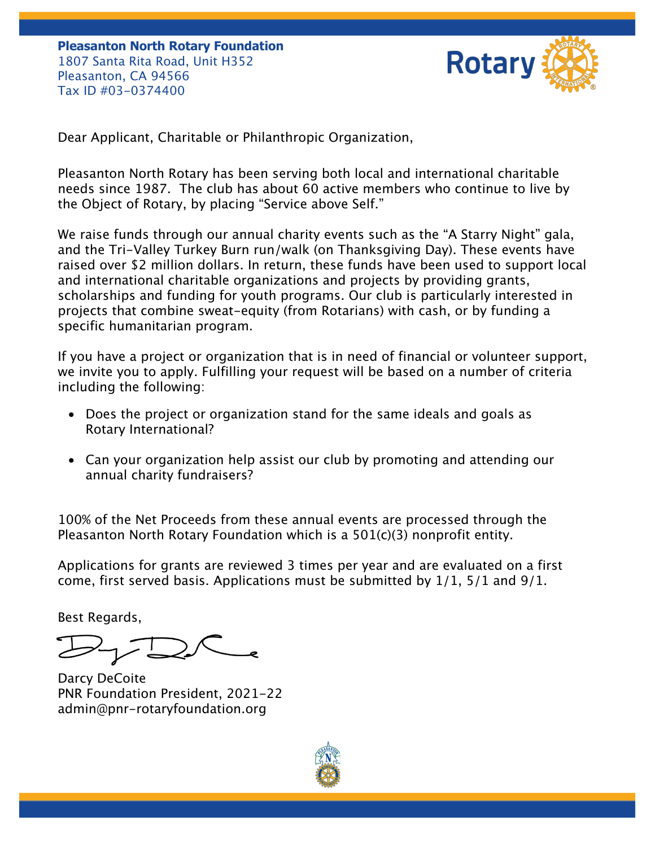**Pleasanton North Rotary Foundation** 1807 Santa Rita Road, Unit H352 Pleasanton, CA 94566 Tax ID #03-0374400



Dear Applicant, Charitable or Philanthropic Organization,

Pleasanton North Rotary has been serving both local and international charitable needs since 1987. The club has about 60 active members who continue to live by the Object of Rotary, by placing "Service above Self."

We raise funds through our annual charity events such as the "A Starry Night" gala, and the Tri-Valley Turkey Burn run/walk (on Thanksgiving Day). These events have raised over \$2 million dollars. In return, these funds have been used to support local and international charitable organizations and projects by providing grants, scholarships and funding for youth programs. Our club is particularly interested in projects that combine sweat-equity (from Rotarians) with cash, or by funding a specific humanitarian program.

If you have a project or organization that is in need of financial or volunteer support, we invite you to apply. Fulfilling your request will be based on a number of criteria including the following:

- Does the project or organization stand for the same ideals and goals as Rotary International?
- Can your organization help assist our club by promoting and attending our annual charity fundraisers?

100% of the Net Proceeds from these annual events are processed through the Pleasanton North Rotary Foundation which is a 501(c)(3) nonprofit entity.

Applications for grants are reviewed 3 times per year and are evaluated on a first come, first served basis. Applications must be submitted by 1/1, 5/1 and 9/1.

Best Regards,

Darcy DeCoite PNR Foundation President, 2021-22 admin@pnr-rotaryfoundation.org

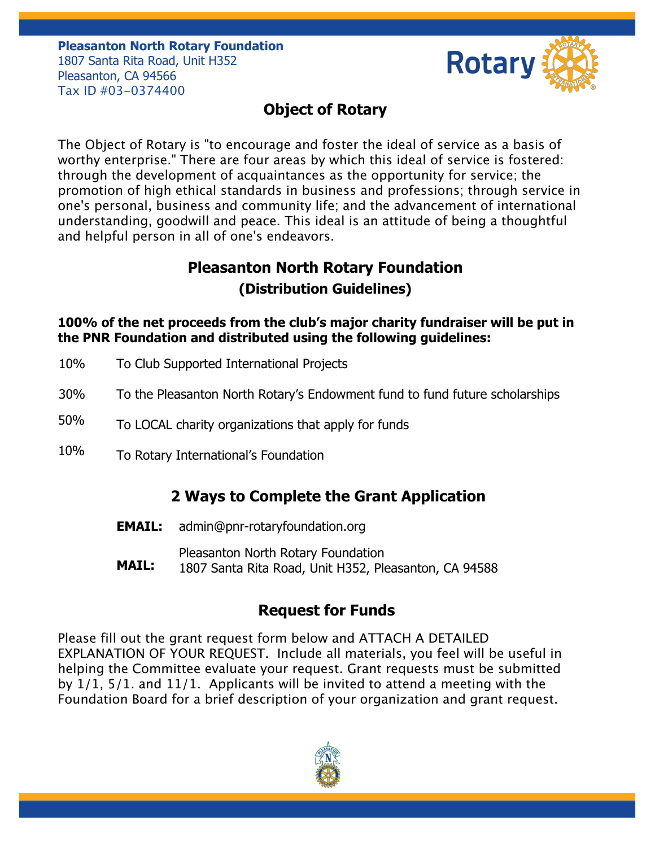#### **Pleasanton North Rotary Foundation** 1807 Santa Rita Road, Unit H352 Pleasanton, CA 94566

Tax ID #03-0374400



# **Object of Rotary**

The Object of Rotary is "to encourage and foster the ideal of service as a basis of worthy enterprise." There are four areas by which this ideal of service is fostered: through the development of acquaintances as the opportunity for service; the promotion of high ethical standards in business and professions; through service in one's personal, business and community life; and the advancement of international understanding, goodwill and peace. This ideal is an attitude of being a thoughtful and helpful person in all of one's endeavors.

## **Pleasanton North Rotary Foundation (Distribution Guidelines)**

**100% of the net proceeds from the club's major charity fundraiser will be put in the PNR Foundation and distributed using the following guidelines:** 

- 10% To Club Supported International Projects
- 30% To the Pleasanton North Rotary's Endowment fund to fund future scholarships
- 50% To LOCAL charity organizations that apply for funds
- 10% To Rotary International's Foundation

### **2 Ways to Complete the Grant Application**

- **EMAIL:** admin@pnr-rotaryfoundation.org
	- Pleasanton North Rotary Foundation
- **MAIL:** 1807 Santa Rita Road, Unit H352, Pleasanton, CA 94588

### **Request for Funds**

Please fill out the grant request form below and ATTACH A DETAILED EXPLANATION OF YOUR REQUEST. Include all materials, you feel will be useful in helping the Committee evaluate your request. Grant requests must be submitted by 1/1, 5/1. and 11/1. Applicants will be invited to attend a meeting with the Foundation Board for a brief description of your organization and grant request.